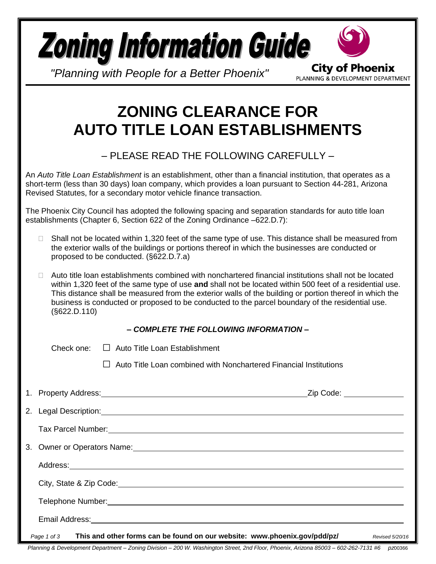|  | <b>Zoning Information Guide</b><br><b>City of Phoenix</b><br>"Planning with People for a Better Phoenix"<br>PLANNING & DEVELOPMENT DEPARTMENT                                                                                                                                                                                                                                                                                                              |
|--|------------------------------------------------------------------------------------------------------------------------------------------------------------------------------------------------------------------------------------------------------------------------------------------------------------------------------------------------------------------------------------------------------------------------------------------------------------|
|  | <b>ZONING CLEARANCE FOR</b><br><b>AUTO TITLE LOAN ESTABLISHMENTS</b>                                                                                                                                                                                                                                                                                                                                                                                       |
|  | - PLEASE READ THE FOLLOWING CAREFULLY -                                                                                                                                                                                                                                                                                                                                                                                                                    |
|  | An Auto Title Loan Establishment is an establishment, other than a financial institution, that operates as a<br>short-term (less than 30 days) loan company, which provides a loan pursuant to Section 44-281, Arizona<br>Revised Statutes, for a secondary motor vehicle finance transaction.                                                                                                                                                             |
|  | The Phoenix City Council has adopted the following spacing and separation standards for auto title loan<br>establishments (Chapter 6, Section 622 of the Zoning Ordinance -622.D.7):                                                                                                                                                                                                                                                                       |
|  | Shall not be located within 1,320 feet of the same type of use. This distance shall be measured from<br>$\mathbf{L}$<br>the exterior walls of the buildings or portions thereof in which the businesses are conducted or<br>proposed to be conducted. (§622.D.7.a)                                                                                                                                                                                         |
|  | Auto title loan establishments combined with nonchartered financial institutions shall not be located<br>$\Box$<br>within 1,320 feet of the same type of use and shall not be located within 500 feet of a residential use.<br>This distance shall be measured from the exterior walls of the building or portion thereof in which the<br>business is conducted or proposed to be conducted to the parcel boundary of the residential use.<br>(S622.D.110) |
|  | - COMPLETE THE FOLLOWING INFORMATION -                                                                                                                                                                                                                                                                                                                                                                                                                     |
|  | Check one:<br>$\Box$ Auto Title Loan Establishment                                                                                                                                                                                                                                                                                                                                                                                                         |
|  | Auto Title Loan combined with Nonchartered Financial Institutions                                                                                                                                                                                                                                                                                                                                                                                          |
|  | _Zip Code: ______________                                                                                                                                                                                                                                                                                                                                                                                                                                  |
|  | 2. Legal Description: 2. September 2. September 2. September 2. September 2. September 2. September 2. September 2. September 2. September 2. September 2. September 2. September 2. September 2. September 2. September 2. Se                                                                                                                                                                                                                             |
|  |                                                                                                                                                                                                                                                                                                                                                                                                                                                            |
|  | 3. Owner or Operators Name: 2008 and 2009 and 2009 and 2009 and 2009 and 2009 and 2009 and 2009 and 2009 and 20                                                                                                                                                                                                                                                                                                                                            |
|  |                                                                                                                                                                                                                                                                                                                                                                                                                                                            |
|  | City, State & Zip Code: Call Content Content Content Content Content Content Content Content Content Content Content Content Content Content Content Content Content Content Content Content Content Content Content Content C                                                                                                                                                                                                                             |
|  | Telephone Number: National According to the Contract of the Contract of the Contract of the Contract of the Contract of the Contract of the Contract of the Contract of the Contract of the Contract of the Contract of the Co                                                                                                                                                                                                                             |
|  | Email Address:                                                                                                                                                                                                                                                                                                                                                                                                                                             |

*Page 1 of 3* **This and other forms can be found on our website: www.phoenix.gov/pdd/pz/** *Revised 5/20/16*

*Planning & Development Department – Zoning Division – 200 W. Washington Street, 2nd Floor, Phoenix, Arizona 85003 – 602-262-7131 #6 pz*00366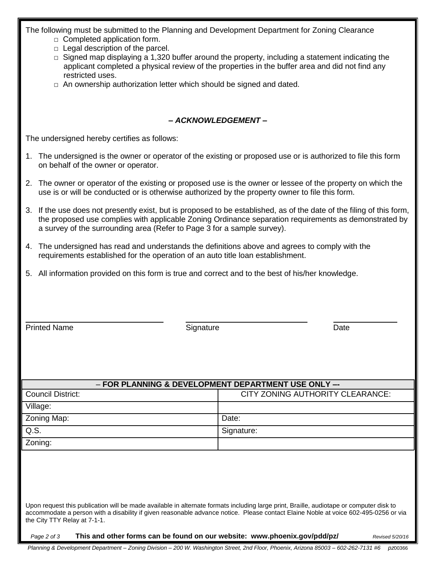The following must be submitted to the Planning and Development Department for Zoning Clearance

- $\Box$  Completed application form.
- $\Box$  Legal description of the parcel.
- $\Box$  Signed map displaying a 1,320 buffer around the property, including a statement indicating the applicant completed a physical review of the properties in the buffer area and did not find any restricted uses.
- $\Box$  An ownership authorization letter which should be signed and dated.

## *– ACKNOWLEDGEMENT –*

The undersigned hereby certifies as follows:

- 1. The undersigned is the owner or operator of the existing or proposed use or is authorized to file this form on behalf of the owner or operator.
- 2. The owner or operator of the existing or proposed use is the owner or lessee of the property on which the use is or will be conducted or is otherwise authorized by the property owner to file this form.
- 3. If the use does not presently exist, but is proposed to be established, as of the date of the filing of this form, the proposed use complies with applicable Zoning Ordinance separation requirements as demonstrated by a survey of the surrounding area (Refer to Page 3 for a sample survey).
- 4. The undersigned has read and understands the definitions above and agrees to comply with the requirements established for the operation of an auto title loan establishment.
- 5. All information provided on this form is true and correct and to the best of his/her knowledge.

Printed Name **Signature** Signature **Contract Signature** Date

| - FOR PLANNING & DEVELOPMENT DEPARTMENT USE ONLY -                                                                                                                                                                                                                                                             |                                  |  |  |
|----------------------------------------------------------------------------------------------------------------------------------------------------------------------------------------------------------------------------------------------------------------------------------------------------------------|----------------------------------|--|--|
| <b>Council District:</b>                                                                                                                                                                                                                                                                                       | CITY ZONING AUTHORITY CLEARANCE: |  |  |
| Village:                                                                                                                                                                                                                                                                                                       |                                  |  |  |
| Zoning Map:                                                                                                                                                                                                                                                                                                    | Date:                            |  |  |
| Q.S.                                                                                                                                                                                                                                                                                                           | Signature:                       |  |  |
| Zoning:                                                                                                                                                                                                                                                                                                        |                                  |  |  |
|                                                                                                                                                                                                                                                                                                                |                                  |  |  |
|                                                                                                                                                                                                                                                                                                                |                                  |  |  |
|                                                                                                                                                                                                                                                                                                                |                                  |  |  |
|                                                                                                                                                                                                                                                                                                                |                                  |  |  |
| Upon request this publication will be made available in alternate formats including large print, Braille, audiotape or computer disk to<br>accommodate a person with a disability if given reasonable advance notice. Please contact Elaine Noble at voice 602-495-0256 or via<br>the City TTY Relay at 7-1-1. |                                  |  |  |
| This and other forms can be found on our website: www.phoenix.gov/pdd/pz/<br>Page 2 of 3<br>Revised 5/20/16                                                                                                                                                                                                    |                                  |  |  |

*Planning & Development Department – Zoning Division – 200 W. Washington Street, 2nd Floor, Phoenix, Arizona 85003 – 602-262-7131 #6 pz*00366